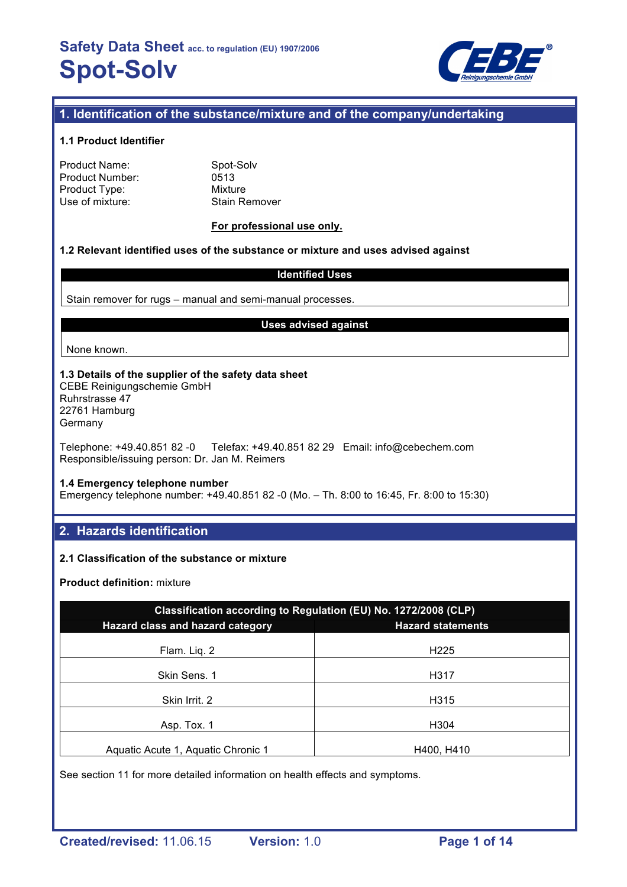

## **1. Identification of the substance/mixture and of the company/undertaking**

## **1.1 Product Identifier**

| Product Name:   |
|-----------------|
| Product Number: |
| Product Type:   |
| Use of mixture: |

Spot-Solv 0513 **Mixture** Stain Remover

## **For professional use only.**

### **1.2 Relevant identified uses of the substance or mixture and uses advised against**

### **Identified Uses**

Stain remover for rugs – manual and semi-manual processes.

#### **Uses advised against**

None known.

#### **1.3 Details of the supplier of the safety data sheet** CEBE Reinigungschemie GmbH Ruhrstrasse 47 22761 Hamburg Germany

Telephone: +49.40.851 82 -0 Telefax: +49.40.851 82 29 Email: info@cebechem.com Responsible/issuing person: Dr. Jan M. Reimers

#### **1.4 Emergency telephone number**

Emergency telephone number: +49.40.851 82 -0 (Mo. – Th. 8:00 to 16:45, Fr. 8:00 to 15:30)

## **2. Hazards identification**

## **2.1 Classification of the substance or mixture**

**Product definition:** mixture

| Classification according to Regulation (EU) No. 1272/2008 (CLP) |                          |  |  |  |
|-----------------------------------------------------------------|--------------------------|--|--|--|
| Hazard class and hazard category                                | <b>Hazard statements</b> |  |  |  |
| Flam. Liq. 2                                                    | H <sub>225</sub>         |  |  |  |
| Skin Sens, 1                                                    | H317                     |  |  |  |
| Skin Irrit. 2                                                   | H315                     |  |  |  |
| Asp. Tox. 1                                                     | H304                     |  |  |  |
| Aquatic Acute 1, Aquatic Chronic 1                              | H400, H410               |  |  |  |

See section 11 for more detailed information on health effects and symptoms.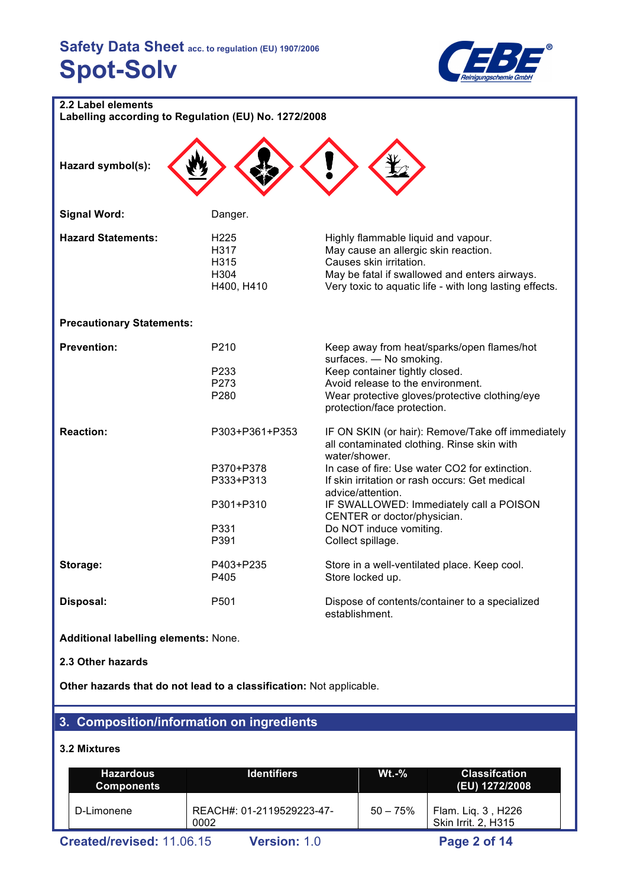

| 2.2 Label elements                                   |                  |                                                                                                          |  |  |  |
|------------------------------------------------------|------------------|----------------------------------------------------------------------------------------------------------|--|--|--|
| Labelling according to Regulation (EU) No. 1272/2008 |                  |                                                                                                          |  |  |  |
|                                                      |                  |                                                                                                          |  |  |  |
|                                                      |                  |                                                                                                          |  |  |  |
|                                                      |                  |                                                                                                          |  |  |  |
| Hazard symbol(s):                                    |                  |                                                                                                          |  |  |  |
|                                                      |                  |                                                                                                          |  |  |  |
|                                                      |                  |                                                                                                          |  |  |  |
| <b>Signal Word:</b>                                  | Danger.          |                                                                                                          |  |  |  |
|                                                      |                  |                                                                                                          |  |  |  |
| <b>Hazard Statements:</b>                            | H225             | Highly flammable liquid and vapour.                                                                      |  |  |  |
|                                                      | H317             | May cause an allergic skin reaction.                                                                     |  |  |  |
|                                                      | H315<br>H304     | Causes skin irritation.                                                                                  |  |  |  |
|                                                      | H400, H410       | May be fatal if swallowed and enters airways.<br>Very toxic to aquatic life - with long lasting effects. |  |  |  |
|                                                      |                  |                                                                                                          |  |  |  |
|                                                      |                  |                                                                                                          |  |  |  |
| <b>Precautionary Statements:</b>                     |                  |                                                                                                          |  |  |  |
|                                                      |                  |                                                                                                          |  |  |  |
| <b>Prevention:</b>                                   | P210             | Keep away from heat/sparks/open flames/hot                                                               |  |  |  |
|                                                      | P233             | surfaces. - No smoking.<br>Keep container tightly closed.                                                |  |  |  |
|                                                      | P273             | Avoid release to the environment.                                                                        |  |  |  |
|                                                      | P280             | Wear protective gloves/protective clothing/eye                                                           |  |  |  |
|                                                      |                  | protection/face protection.                                                                              |  |  |  |
|                                                      |                  |                                                                                                          |  |  |  |
| <b>Reaction:</b>                                     | P303+P361+P353   | IF ON SKIN (or hair): Remove/Take off immediately                                                        |  |  |  |
|                                                      |                  | all contaminated clothing. Rinse skin with                                                               |  |  |  |
|                                                      |                  | water/shower.                                                                                            |  |  |  |
|                                                      | P370+P378        | In case of fire: Use water CO2 for extinction.                                                           |  |  |  |
|                                                      | P333+P313        | If skin irritation or rash occurs: Get medical                                                           |  |  |  |
|                                                      |                  | advice/attention.                                                                                        |  |  |  |
|                                                      | P301+P310        | IF SWALLOWED: Immediately call a POISON                                                                  |  |  |  |
|                                                      |                  | CENTER or doctor/physician.                                                                              |  |  |  |
|                                                      | P331             | Do NOT induce vomiting.                                                                                  |  |  |  |
|                                                      | P391             | Collect spillage.                                                                                        |  |  |  |
| Storage:                                             | P403+P235        | Store in a well-ventilated place. Keep cool.                                                             |  |  |  |
|                                                      | P405             | Store locked up.                                                                                         |  |  |  |
|                                                      |                  |                                                                                                          |  |  |  |
| Disposal:                                            | P <sub>501</sub> | Dispose of contents/container to a specialized                                                           |  |  |  |
|                                                      |                  | establishment.                                                                                           |  |  |  |

**Additional labelling elements:** None.

**2.3 Other hazards**

**Other hazards that do not lead to a classification:** Not applicable.

# **3. Composition/information on ingredients**

## **3.2 Mixtures**

| <b>Hazardous</b><br><b>Components</b> |                           | <b>Identifiers</b>                | $Wt.-%$    | <b>Classifcation</b><br>(EU) 1272/2008    |
|---------------------------------------|---------------------------|-----------------------------------|------------|-------------------------------------------|
|                                       | D-Limonene                | REACH#: 01-2119529223-47-<br>0002 | $50 - 75%$ | Flam. Liq. 3, H226<br>Skin Irrit. 2, H315 |
|                                       | Created/revised: 11.06.15 | <b>Version: 1.0</b>               |            | Page 2 of 14                              |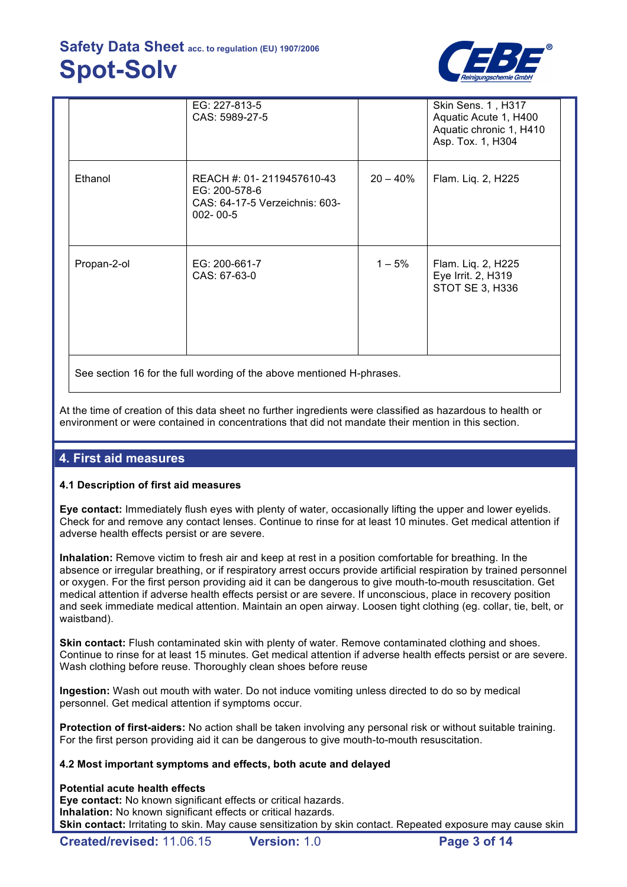

|                                                                       | EG: 227-813-5<br>CAS: 5989-27-5                                                                |             | Skin Sens. 1, H317<br>Aquatic Acute 1, H400<br>Aquatic chronic 1, H410<br>Asp. Tox. 1, H304 |  |  |
|-----------------------------------------------------------------------|------------------------------------------------------------------------------------------------|-------------|---------------------------------------------------------------------------------------------|--|--|
| Ethanol                                                               | REACH #: 01-2119457610-43<br>EG: 200-578-6<br>CAS: 64-17-5 Verzeichnis: 603-<br>$002 - 00 - 5$ | $20 - 40\%$ | Flam. Liq. 2, H225                                                                          |  |  |
| Propan-2-ol                                                           | EG: 200-661-7<br>CAS: 67-63-0                                                                  | $1 - 5%$    | Flam. Liq. 2, H225<br>Eye Irrit. 2, H319<br>STOT SE 3, H336                                 |  |  |
| See section 16 for the full wording of the above mentioned H-phrases. |                                                                                                |             |                                                                                             |  |  |

At the time of creation of this data sheet no further ingredients were classified as hazardous to health or environment or were contained in concentrations that did not mandate their mention in this section.

## **4. First aid measures**

## **4.1 Description of first aid measures**

**Eye contact:** Immediately flush eyes with plenty of water, occasionally lifting the upper and lower eyelids. Check for and remove any contact lenses. Continue to rinse for at least 10 minutes. Get medical attention if adverse health effects persist or are severe.

**Inhalation:** Remove victim to fresh air and keep at rest in a position comfortable for breathing. In the absence or irregular breathing, or if respiratory arrest occurs provide artificial respiration by trained personnel or oxygen. For the first person providing aid it can be dangerous to give mouth-to-mouth resuscitation. Get medical attention if adverse health effects persist or are severe. If unconscious, place in recovery position and seek immediate medical attention. Maintain an open airway. Loosen tight clothing (eg. collar, tie, belt, or waistband).

**Skin contact:** Flush contaminated skin with plenty of water. Remove contaminated clothing and shoes. Continue to rinse for at least 15 minutes. Get medical attention if adverse health effects persist or are severe. Wash clothing before reuse. Thoroughly clean shoes before reuse

**Ingestion:** Wash out mouth with water. Do not induce vomiting unless directed to do so by medical personnel. Get medical attention if symptoms occur.

**Protection of first-aiders:** No action shall be taken involving any personal risk or without suitable training. For the first person providing aid it can be dangerous to give mouth-to-mouth resuscitation.

## **4.2 Most important symptoms and effects, both acute and delayed**

## **Potential acute health effects**

**Eye contact:** No known significant effects or critical hazards. **Inhalation:** No known significant effects or critical hazards. **Skin contact:** Irritating to skin. May cause sensitization by skin contact. Repeated exposure may cause skin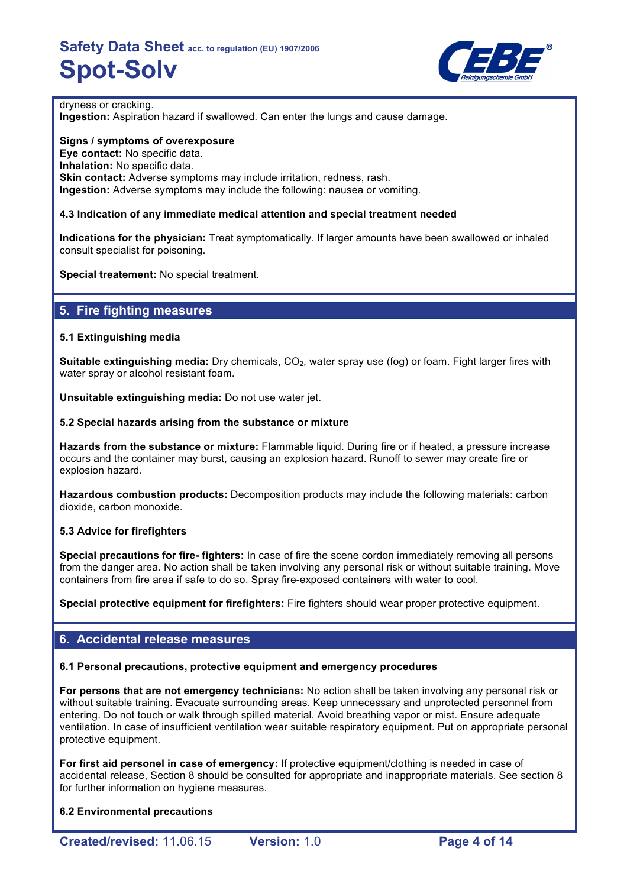

### dryness or cracking.

**Ingestion:** Aspiration hazard if swallowed. Can enter the lungs and cause damage.

**Signs / symptoms of overexposure Eye contact:** No specific data. **Inhalation:** No specific data. **Skin contact:** Adverse symptoms may include irritation, redness, rash. **Ingestion:** Adverse symptoms may include the following: nausea or vomiting.

## **4.3 Indication of any immediate medical attention and special treatment needed**

**Indications for the physician:** Treat symptomatically. If larger amounts have been swallowed or inhaled consult specialist for poisoning.

**Special treatement:** No special treatment.

## **5. Fire fighting measures**

## **5.1 Extinguishing media**

**Suitable extinguishing media:** Dry chemicals, CO<sub>2</sub>, water spray use (fog) or foam. Fight larger fires with water spray or alcohol resistant foam.

**Unsuitable extinguishing media:** Do not use water jet.

### **5.2 Special hazards arising from the substance or mixture**

**Hazards from the substance or mixture:** Flammable liquid. During fire or if heated, a pressure increase occurs and the container may burst, causing an explosion hazard. Runoff to sewer may create fire or explosion hazard.

**Hazardous combustion products:** Decomposition products may include the following materials: carbon dioxide, carbon monoxide.

## **5.3 Advice for firefighters**

**Special precautions for fire- fighters:** In case of fire the scene cordon immediately removing all persons from the danger area. No action shall be taken involving any personal risk or without suitable training. Move containers from fire area if safe to do so. Spray fire-exposed containers with water to cool.

**Special protective equipment for firefighters:** Fire fighters should wear proper protective equipment.

## **6. Accidental release measures**

## **6.1 Personal precautions, protective equipment and emergency procedures**

**For persons that are not emergency technicians:** No action shall be taken involving any personal risk or without suitable training. Evacuate surrounding areas. Keep unnecessary and unprotected personnel from entering. Do not touch or walk through spilled material. Avoid breathing vapor or mist. Ensure adequate ventilation. In case of insufficient ventilation wear suitable respiratory equipment. Put on appropriate personal protective equipment.

**For first aid personel in case of emergency:** If protective equipment/clothing is needed in case of accidental release, Section 8 should be consulted for appropriate and inappropriate materials. See section 8 for further information on hygiene measures.

**6.2 Environmental precautions**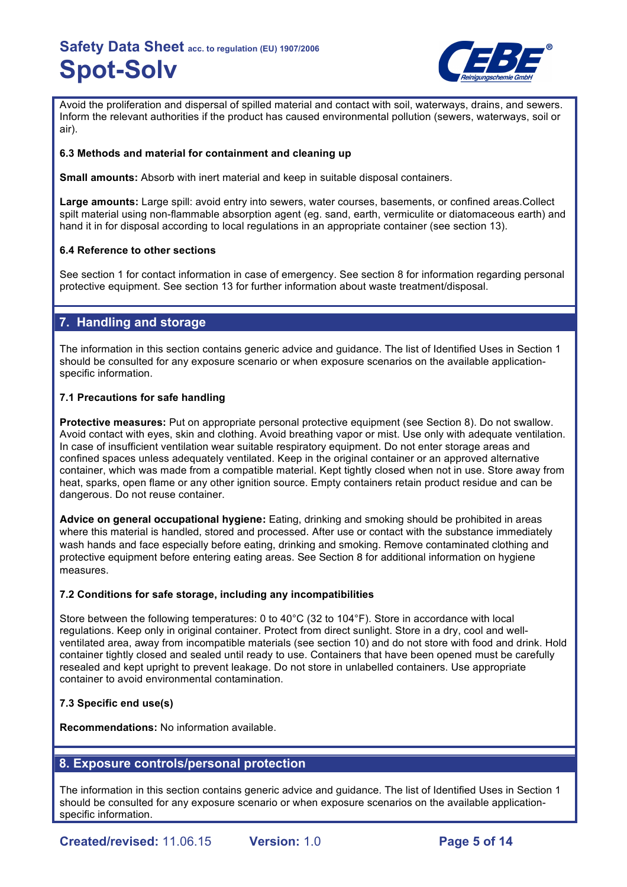

Avoid the proliferation and dispersal of spilled material and contact with soil, waterways, drains, and sewers. Inform the relevant authorities if the product has caused environmental pollution (sewers, waterways, soil or air).

## **6.3 Methods and material for containment and cleaning up**

**Small amounts:** Absorb with inert material and keep in suitable disposal containers.

**Large amounts:** Large spill: avoid entry into sewers, water courses, basements, or confined areas.Collect spilt material using non-flammable absorption agent (eg. sand, earth, vermiculite or diatomaceous earth) and hand it in for disposal according to local regulations in an appropriate container (see section 13).

## **6.4 Reference to other sections**

See section 1 for contact information in case of emergency. See section 8 for information regarding personal protective equipment. See section 13 for further information about waste treatment/disposal.

## **7. Handling and storage**

The information in this section contains generic advice and guidance. The list of Identified Uses in Section 1 should be consulted for any exposure scenario or when exposure scenarios on the available applicationspecific information.

## **7.1 Precautions for safe handling**

**Protective measures:** Put on appropriate personal protective equipment (see Section 8). Do not swallow. Avoid contact with eyes, skin and clothing. Avoid breathing vapor or mist. Use only with adequate ventilation. In case of insufficient ventilation wear suitable respiratory equipment. Do not enter storage areas and confined spaces unless adequately ventilated. Keep in the original container or an approved alternative container, which was made from a compatible material. Kept tightly closed when not in use. Store away from heat, sparks, open flame or any other ignition source. Empty containers retain product residue and can be dangerous. Do not reuse container.

**Advice on general occupational hygiene:** Eating, drinking and smoking should be prohibited in areas where this material is handled, stored and processed. After use or contact with the substance immediately wash hands and face especially before eating, drinking and smoking. Remove contaminated clothing and protective equipment before entering eating areas. See Section 8 for additional information on hygiene measures.

## **7.2 Conditions for safe storage, including any incompatibilities**

Store between the following temperatures: 0 to 40°C (32 to 104°F). Store in accordance with local regulations. Keep only in original container. Protect from direct sunlight. Store in a dry, cool and wellventilated area, away from incompatible materials (see section 10) and do not store with food and drink. Hold container tightly closed and sealed until ready to use. Containers that have been opened must be carefully resealed and kept upright to prevent leakage. Do not store in unlabelled containers. Use appropriate container to avoid environmental contamination.

## **7.3 Specific end use(s)**

**Recommendations:** No information available.

## **8. Exposure controls/personal protection**

The information in this section contains generic advice and guidance. The list of Identified Uses in Section 1 should be consulted for any exposure scenario or when exposure scenarios on the available applicationspecific information.

**Created/revised:** 11.06.15 **Version:** 1.0 **Page 5 of 14**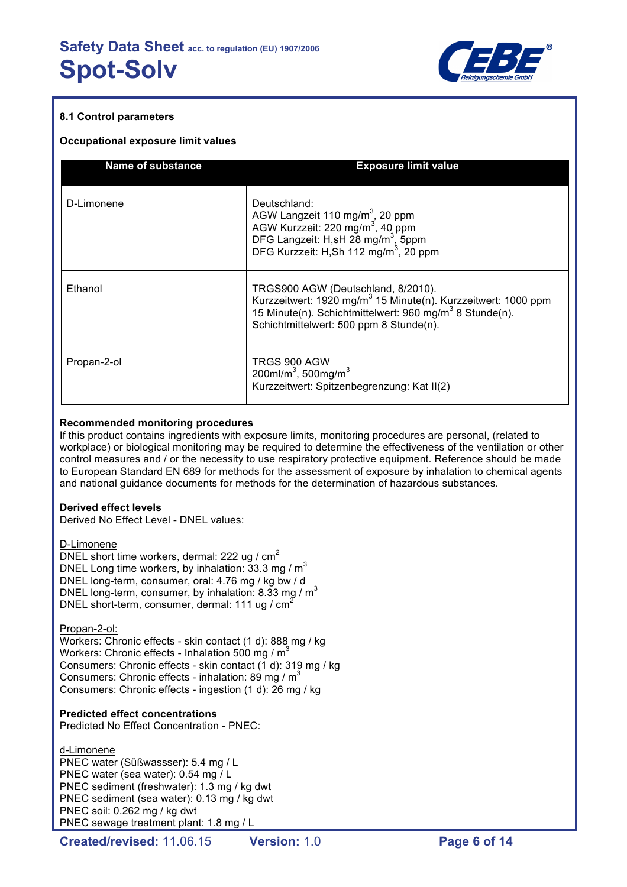

## **8.1 Control parameters**

### **Occupational exposure limit values**

| <b>Name of substance</b> | <b>Exposure limit value</b>                                                                                                                                                                                                                                          |
|--------------------------|----------------------------------------------------------------------------------------------------------------------------------------------------------------------------------------------------------------------------------------------------------------------|
| D-Limonene               | Deutschland:<br>AGW Langzeit 110 mg/m <sup>3</sup> , 20 ppm<br>AGW Kurzzeit: 220 mg/m <sup>3</sup> , 40 ppm<br>DFG Langzeit: H,sH 28 mg/m <sup>3</sup> , 5ppm<br>DFG Langzeit: H,sH 28 mg/m <sup>3</sup> , 5ppm<br>DFG Kurzzeit: H,Sh 112 mg/m <sup>3</sup> , 20 ppm |
| Ethanol                  | TRGS900 AGW (Deutschland, 8/2010).<br>Kurzzeitwert: 1920 mg/m <sup>3</sup> 15 Minute(n). Kurzzeitwert: 1000 ppm<br>15 Minute(n). Schichtmittelwert: 960 mg/m <sup>3</sup> 8 Stunde(n).<br>Schichtmittelwert: 500 ppm 8 Stunde(n).                                    |
| Propan-2-ol              | TRGS 900 AGW<br>200ml/m <sup>3</sup> , 500mg/m <sup>3</sup><br>Kurzzeitwert: Spitzenbegrenzung: Kat II(2)                                                                                                                                                            |

### **Recommended monitoring procedures**

If this product contains ingredients with exposure limits, monitoring procedures are personal, (related to workplace) or biological monitoring may be required to determine the effectiveness of the ventilation or other control measures and / or the necessity to use respiratory protective equipment. Reference should be made to European Standard EN 689 for methods for the assessment of exposure by inhalation to chemical agents and national guidance documents for methods for the determination of hazardous substances.

#### **Derived effect levels**

Derived No Effect Level - DNEL values:

D-Limonene

DNEL short time workers, dermal: 222 ug /  $cm<sup>2</sup>$ DNEL Long time workers, by inhalation:  $33.3 \text{ mg} / \text{m}^3$ DNEL long-term, consumer, oral: 4.76 mg / kg bw / d DNEL long-term, consumer, by inhalation: 8.33 mg /  $m<sup>3</sup>$ DNEL short-term, consumer, dermal: 111 ug / cm<sup>2</sup>

Propan-2-ol:

Workers: Chronic effects - skin contact (1 d): 888 mg / kg Workers: Chronic effects - Inhalation 500 mg /  $m<sup>3</sup>$ Consumers: Chronic effects - skin contact (1 d): 319 mg / kg Consumers: Chronic effects - inhalation: 89 mg /  $m<sup>3</sup>$ Consumers: Chronic effects - ingestion (1 d): 26 mg / kg

## **Predicted effect concentrations**

Predicted No Effect Concentration - PNEC:

d-Limonene PNEC water (Süßwassser): 5.4 mg / L PNEC water (sea water): 0.54 mg / L PNEC sediment (freshwater): 1.3 mg / kg dwt PNEC sediment (sea water): 0.13 mg / kg dwt PNEC soil: 0.262 mg / kg dwt PNEC sewage treatment plant: 1.8 mg / L

**Created/revised:** 11.06.15 **Version:** 1.0 **Page 6 of 14**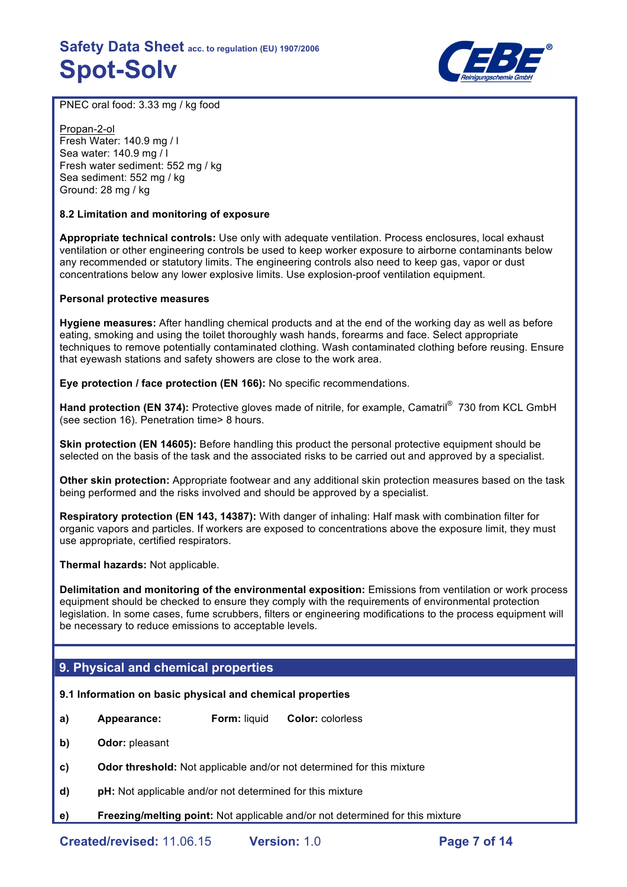

PNEC oral food: 3.33 mg / kg food

Propan-2-ol Fresh Water: 140.9 mg / l Sea water: 140.9 mg / l Fresh water sediment: 552 mg / kg Sea sediment: 552 mg / kg Ground: 28 mg / kg

## **8.2 Limitation and monitoring of exposure**

**Appropriate technical controls:** Use only with adequate ventilation. Process enclosures, local exhaust ventilation or other engineering controls be used to keep worker exposure to airborne contaminants below any recommended or statutory limits. The engineering controls also need to keep gas, vapor or dust concentrations below any lower explosive limits. Use explosion-proof ventilation equipment.

### **Personal protective measures**

**Hygiene measures:** After handling chemical products and at the end of the working day as well as before eating, smoking and using the toilet thoroughly wash hands, forearms and face. Select appropriate techniques to remove potentially contaminated clothing. Wash contaminated clothing before reusing. Ensure that eyewash stations and safety showers are close to the work area.

**Eye protection / face protection (EN 166):** No specific recommendations.

Hand protection (EN 374): Protective gloves made of nitrile, for example, Camatril<sup>®</sup> 730 from KCL GmbH (see section 16). Penetration time> 8 hours.

**Skin protection (EN 14605):** Before handling this product the personal protective equipment should be selected on the basis of the task and the associated risks to be carried out and approved by a specialist.

**Other skin protection:** Appropriate footwear and any additional skin protection measures based on the task being performed and the risks involved and should be approved by a specialist.

**Respiratory protection (EN 143, 14387):** With danger of inhaling: Half mask with combination filter for organic vapors and particles. If workers are exposed to concentrations above the exposure limit, they must use appropriate, certified respirators.

**Thermal hazards:** Not applicable.

**Delimitation and monitoring of the environmental exposition:** Emissions from ventilation or work process equipment should be checked to ensure they comply with the requirements of environmental protection legislation. In some cases, fume scrubbers, filters or engineering modifications to the process equipment will be necessary to reduce emissions to acceptable levels.

## **9. Physical and chemical properties**

## **9.1 Information on basic physical and chemical properties**

- **a) Appearance: Form:** liquid **Color:** colorless
- **b) Odor:** pleasant
- **c) Odor threshold:** Not applicable and/or not determined for this mixture
- **d) pH:** Not applicable and/or not determined for this mixture
- **e) Freezing/melting point:** Not applicable and/or not determined for this mixture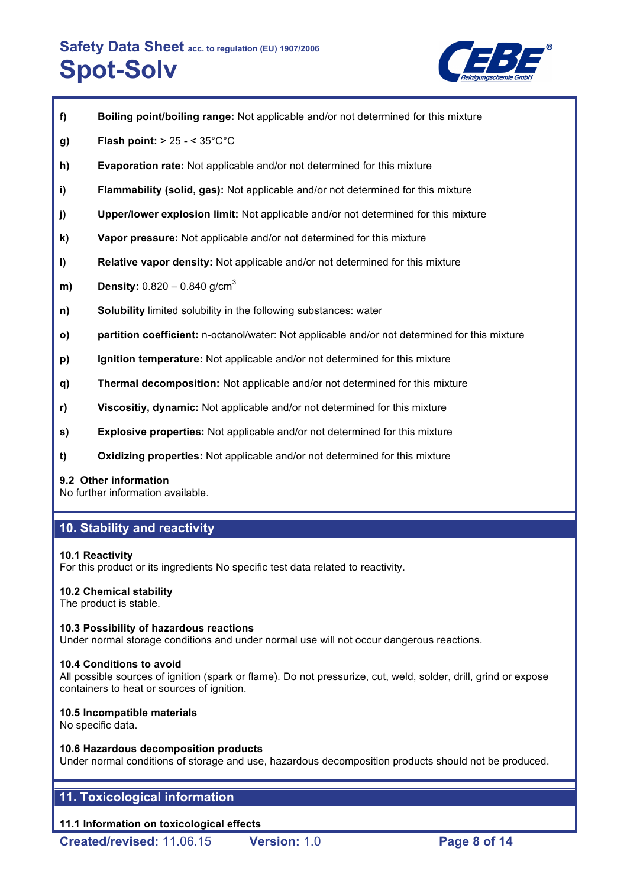

| g)           | Flash point: $> 25 - < 35^{\circ}$ C $^{\circ}$ C                                             |
|--------------|-----------------------------------------------------------------------------------------------|
| h)           | <b>Evaporation rate:</b> Not applicable and/or not determined for this mixture                |
| i)           | Flammability (solid, gas): Not applicable and/or not determined for this mixture              |
| j)           | <b>Upper/lower explosion limit:</b> Not applicable and/or not determined for this mixture     |
| k)           | Vapor pressure: Not applicable and/or not determined for this mixture                         |
| $\vert$      | <b>Relative vapor density:</b> Not applicable and/or not determined for this mixture          |
| m)           | <b>Density:</b> $0.820 - 0.840$ g/cm <sup>3</sup>                                             |
| n)           | <b>Solubility</b> limited solubility in the following substances: water                       |
| $\mathsf{o}$ | partition coefficient: n-octanol/water: Not applicable and/or not determined for this mixture |
| p)           | Ignition temperature: Not applicable and/or not determined for this mixture                   |
|              |                                                                                               |

**f) Boiling point/boiling range:** Not applicable and/or not determined for this mixture

- **q) Thermal decomposition:** Not applicable and/or not determined for this mixture
- **r) Viscositiy, dynamic:** Not applicable and/or not determined for this mixture
- **s) Explosive properties:** Not applicable and/or not determined for this mixture
- **t) Oxidizing properties:** Not applicable and/or not determined for this mixture

## **9.2 Other information**

No further information available.

# **10. Stability and reactivity**

## **10.1 Reactivity**

For this product or its ingredients No specific test data related to reactivity.

# **10.2 Chemical stability**

The product is stable.

## **10.3 Possibility of hazardous reactions**

Under normal storage conditions and under normal use will not occur dangerous reactions.

## **10.4 Conditions to avoid**

All possible sources of ignition (spark or flame). Do not pressurize, cut, weld, solder, drill, grind or expose containers to heat or sources of ignition.

## **10.5 Incompatible materials**

No specific data.

## **10.6 Hazardous decomposition products**

Under normal conditions of storage and use, hazardous decomposition products should not be produced.

# **11. Toxicological information**

# **11.1 Information on toxicological effects**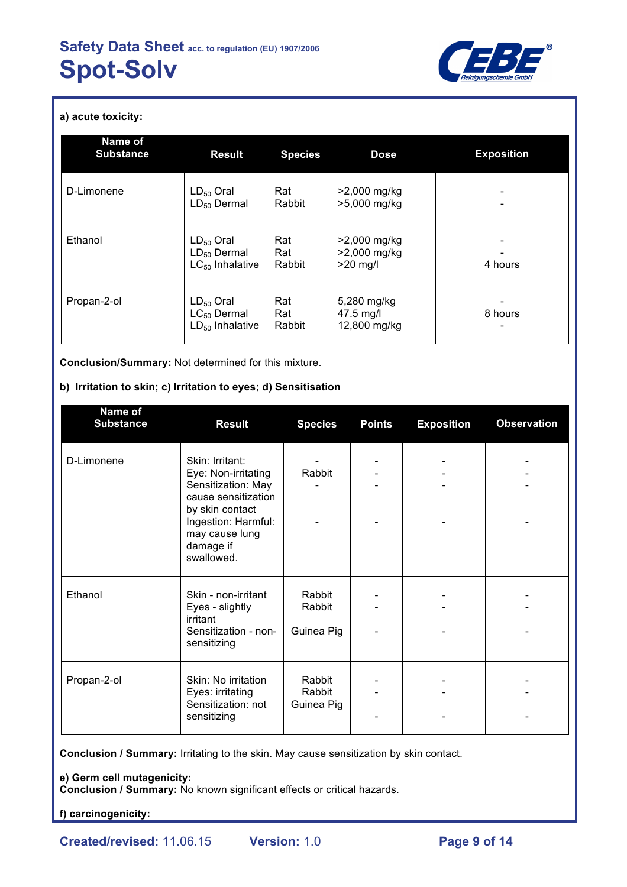

**a) acute toxicity:**

| Name of<br><b>Substance</b> | <b>Result</b>                                              | <b>Species</b>       | <b>Dose</b>                                | <b>Exposition</b> |
|-----------------------------|------------------------------------------------------------|----------------------|--------------------------------------------|-------------------|
| D-Limonene                  | $LD_{50}$ Oral<br>$LD_{50}$ Dermal                         | Rat<br>Rabbit        | >2,000 mg/kg<br>>5,000 mg/kg               |                   |
| Ethanol                     | $LD_{50}$ Oral<br>$LD_{50}$ Dermal<br>$LC_{50}$ Inhalative | Rat<br>Rat<br>Rabbit | >2,000 mg/kg<br>>2,000 mg/kg<br>$>20$ mg/l | 4 hours           |
| Propan-2-ol                 | $LD_{50}$ Oral<br>$LC_{50}$ Dermal<br>$LD_{50}$ Inhalative | Rat<br>Rat<br>Rabbit | 5,280 mg/kg<br>47.5 mg/l<br>12,800 mg/kg   | 8 hours           |

**Conclusion/Summary:** Not determined for this mixture.

## **b) Irritation to skin; c) Irritation to eyes; d) Sensitisation**

| Name of<br><b>Substance</b> | <b>Result</b>                                                                                                                                                              | <b>Species</b>                 | <b>Points</b> | <b>Exposition</b> | <b>Observation</b> |
|-----------------------------|----------------------------------------------------------------------------------------------------------------------------------------------------------------------------|--------------------------------|---------------|-------------------|--------------------|
| D-Limonene                  | Skin: Irritant:<br>Eye: Non-irritating<br>Sensitization: May<br>cause sensitization<br>by skin contact<br>Ingestion: Harmful:<br>may cause lung<br>damage if<br>swallowed. | Rabbit                         |               |                   |                    |
| Ethanol                     | Skin - non-irritant<br>Eyes - slightly<br>irritant<br>Sensitization - non-<br>sensitizing                                                                                  | Rabbit<br>Rabbit<br>Guinea Pig |               |                   |                    |
| Propan-2-ol                 | Skin: No irritation<br>Eyes: irritating<br>Sensitization: not<br>sensitizing                                                                                               | Rabbit<br>Rabbit<br>Guinea Pig |               |                   |                    |

**Conclusion / Summary:** Irritating to the skin. May cause sensitization by skin contact.

**e) Germ cell mutagenicity:**

**Conclusion / Summary:** No known significant effects or critical hazards.

**f) carcinogenicity:**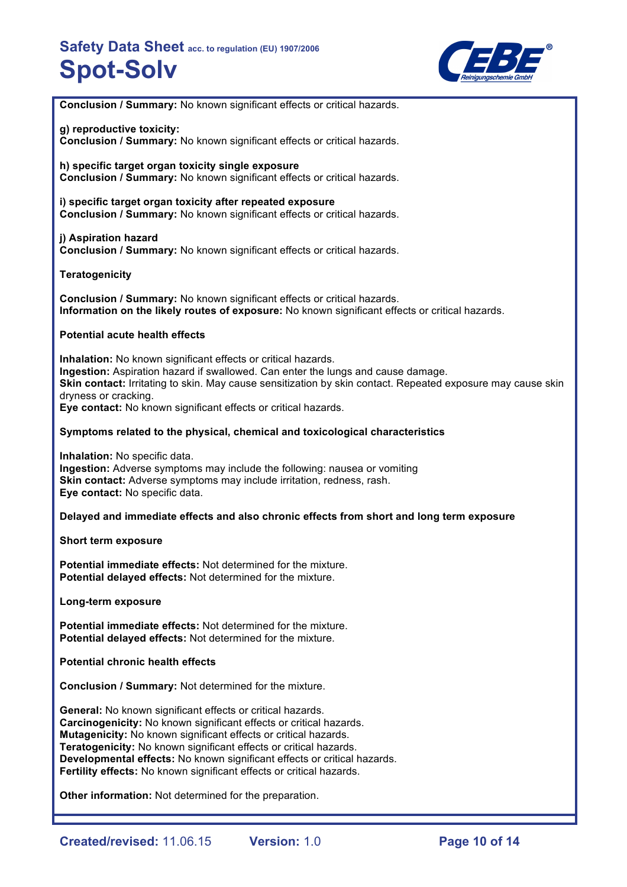

**Conclusion / Summary:** No known significant effects or critical hazards.

### **g) reproductive toxicity:**

**Conclusion / Summary:** No known significant effects or critical hazards.

**h) specific target organ toxicity single exposure Conclusion / Summary:** No known significant effects or critical hazards.

**i) specific target organ toxicity after repeated exposure Conclusion / Summary:** No known significant effects or critical hazards.

**j) Aspiration hazard Conclusion / Summary:** No known significant effects or critical hazards.

## **Teratogenicity**

**Conclusion / Summary:** No known significant effects or critical hazards. **Information on the likely routes of exposure:** No known significant effects or critical hazards.

### **Potential acute health effects**

**Inhalation:** No known significant effects or critical hazards. **Ingestion:** Aspiration hazard if swallowed. Can enter the lungs and cause damage. **Skin contact:** Irritating to skin. May cause sensitization by skin contact. Repeated exposure may cause skin dryness or cracking. **Eye contact:** No known significant effects or critical hazards.

### **Symptoms related to the physical, chemical and toxicological characteristics**

**Inhalation:** No specific data. **Ingestion:** Adverse symptoms may include the following: nausea or vomiting **Skin contact:** Adverse symptoms may include irritation, redness, rash. **Eye contact:** No specific data.

## **Delayed and immediate effects and also chronic effects from short and long term exposure**

#### **Short term exposure**

**Potential immediate effects:** Not determined for the mixture. **Potential delayed effects:** Not determined for the mixture.

**Long-term exposure**

**Potential immediate effects:** Not determined for the mixture. **Potential delayed effects:** Not determined for the mixture.

**Potential chronic health effects**

**Conclusion / Summary:** Not determined for the mixture.

**General:** No known significant effects or critical hazards. **Carcinogenicity:** No known significant effects or critical hazards. **Mutagenicity:** No known significant effects or critical hazards. **Teratogenicity:** No known significant effects or critical hazards. **Developmental effects:** No known significant effects or critical hazards. **Fertility effects:** No known significant effects or critical hazards.

**Other information:** Not determined for the preparation.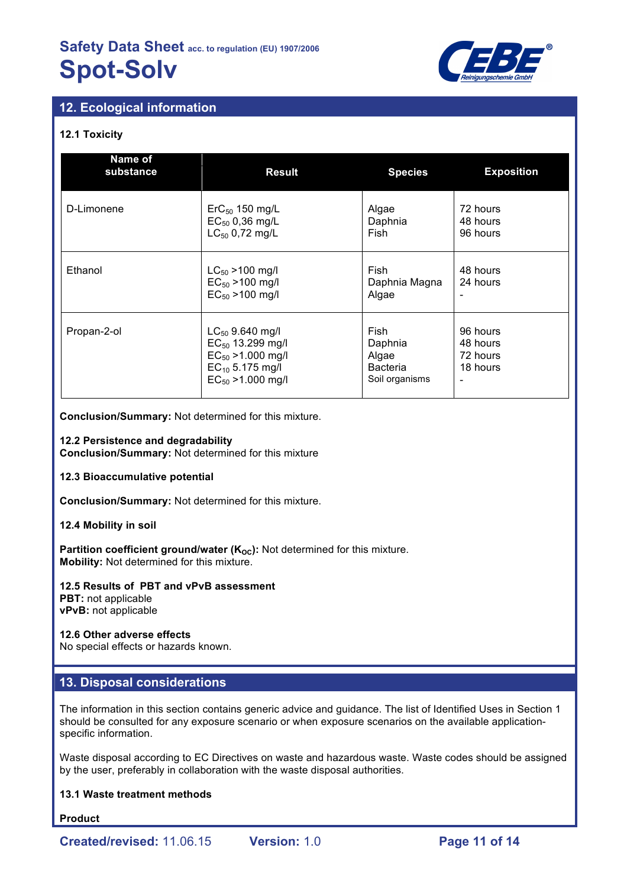

# **12. Ecological information**

## **12.1 Toxicity**

| Name of<br>substance                                                                                                                    | <b>Result</b>                                                            | <b>Species</b>                                                | <b>Exposition</b>                            |
|-----------------------------------------------------------------------------------------------------------------------------------------|--------------------------------------------------------------------------|---------------------------------------------------------------|----------------------------------------------|
| D-Limonene                                                                                                                              | $\text{ErC}_{50}$ 150 mg/L<br>$EC_{50}$ 0,36 mg/L<br>$LC_{50}$ 0,72 mg/L | Algae<br>Daphnia<br>Fish                                      | 72 hours<br>48 hours<br>96 hours             |
| Ethanol<br>$LC_{50}$ > 100 mg/l<br>$EC_{50} > 100$ mg/l<br>$EC_{50} > 100$ mg/l                                                         |                                                                          | Fish<br>Daphnia Magna<br>Algae                                | 48 hours<br>24 hours                         |
| Propan-2-ol<br>$LC_{50}$ 9.640 mg/l<br>$EC_{50}$ 13.299 mg/l<br>$EC_{50}$ >1.000 mg/l<br>$EC_{10}$ 5.175 mg/l<br>$EC_{50} > 1.000$ mg/l |                                                                          | Fish<br>Daphnia<br>Algae<br><b>Bacteria</b><br>Soil organisms | 96 hours<br>48 hours<br>72 hours<br>18 hours |

**Conclusion/Summary:** Not determined for this mixture.

### **12.2 Persistence and degradability**

**Conclusion/Summary:** Not determined for this mixture

#### **12.3 Bioaccumulative potential**

**Conclusion/Summary:** Not determined for this mixture.

#### **12.4 Mobility in soil**

Partition coefficient ground/water (K<sub>oc</sub>): Not determined for this mixture. **Mobility:** Not determined for this mixture.

#### **12.5 Results of PBT and vPvB assessment PBT:** not applicable **vPvB:** not applicable

## **12.6 Other adverse effects**

No special effects or hazards known.

## **13. Disposal considerations**

The information in this section contains generic advice and guidance. The list of Identified Uses in Section 1 should be consulted for any exposure scenario or when exposure scenarios on the available applicationspecific information.

Waste disposal according to EC Directives on waste and hazardous waste. Waste codes should be assigned by the user, preferably in collaboration with the waste disposal authorities.

## **13.1 Waste treatment methods**

**Product**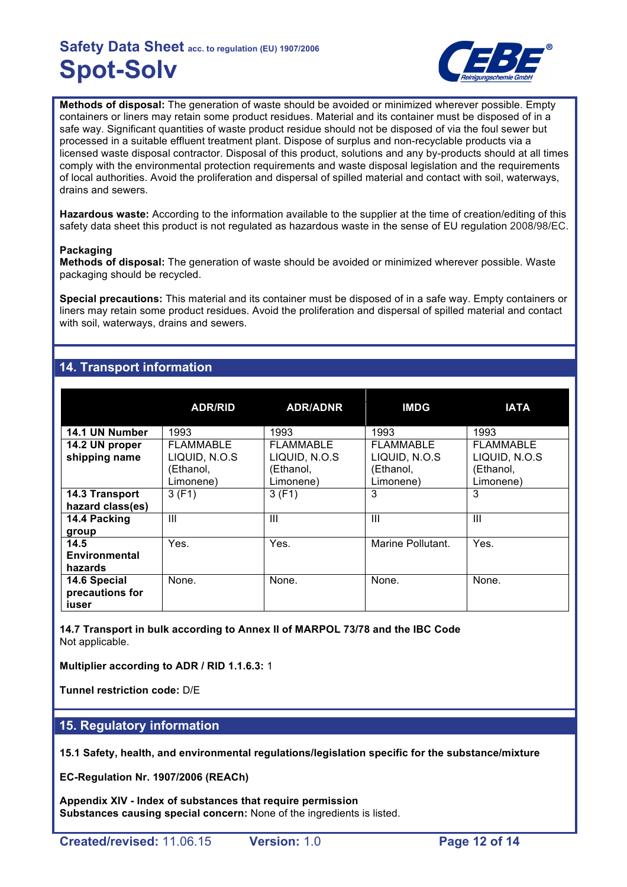

**Methods of disposal:** The generation of waste should be avoided or minimized wherever possible. Empty containers or liners may retain some product residues. Material and its container must be disposed of in a safe way. Significant quantities of waste product residue should not be disposed of via the foul sewer but processed in a suitable effluent treatment plant. Dispose of surplus and non-recyclable products via a licensed waste disposal contractor. Disposal of this product, solutions and any by-products should at all times comply with the environmental protection requirements and waste disposal legislation and the requirements of local authorities. Avoid the proliferation and dispersal of spilled material and contact with soil, waterways, drains and sewers.

**Hazardous waste:** According to the information available to the supplier at the time of creation/editing of this safety data sheet this product is not regulated as hazardous waste in the sense of EU regulation 2008/98/EC.

## **Packaging**

**Methods of disposal:** The generation of waste should be avoided or minimized wherever possible. Waste packaging should be recycled.

**Special precautions:** This material and its container must be disposed of in a safe way. Empty containers or liners may retain some product residues. Avoid the proliferation and dispersal of spilled material and contact with soil, waterways, drains and sewers.

# **14. Transport information**

|                                          | <b>ADR/RID</b>                                       | <b>ADR/ADNR</b>                                      | <b>IMDG</b>                                                 | <b>IATA</b>                                                 |
|------------------------------------------|------------------------------------------------------|------------------------------------------------------|-------------------------------------------------------------|-------------------------------------------------------------|
| 14.1 UN Number                           | 1993                                                 | 1993                                                 | 1993                                                        | 1993                                                        |
| 14.2 UN proper<br>shipping name          | FLAMMABLE<br>LIQUID, N.O.S<br>(Ethanol,<br>Limonene) | FLAMMABLE<br>LIQUID, N.O.S<br>(Ethanol,<br>Limonene) | <b>FLAMMABLE</b><br>LIQUID, N.O.S<br>(Ethanol,<br>Limonene) | <b>FLAMMABLE</b><br>LIQUID, N.O.S<br>(Ethanol,<br>Limonene) |
| 14.3 Transport<br>hazard class(es)       | 3(F1)                                                | 3(F1)                                                | 3                                                           | 3                                                           |
| 14.4 Packing<br>group                    | Ш                                                    | Ш                                                    | Ш                                                           | Ш                                                           |
| 14.5<br>Environmental<br>hazards         | Yes.                                                 | Yes.                                                 | Marine Pollutant.                                           | Yes.                                                        |
| 14.6 Special<br>precautions for<br>iuser | None.                                                | None.                                                | None.                                                       | None.                                                       |

**14.7 Transport in bulk according to Annex II of MARPOL 73/78 and the IBC Code** Not applicable.

**Multiplier according to ADR / RID 1.1.6.3:** 1

**Tunnel restriction code:** D/E

## **15. Regulatory information**

**15.1 Safety, health, and environmental regulations/legislation specific for the substance/mixture**

**EC-Regulation Nr. 1907/2006 (REACh)**

**Appendix XIV - Index of substances that require permission Substances causing special concern:** None of the ingredients is listed.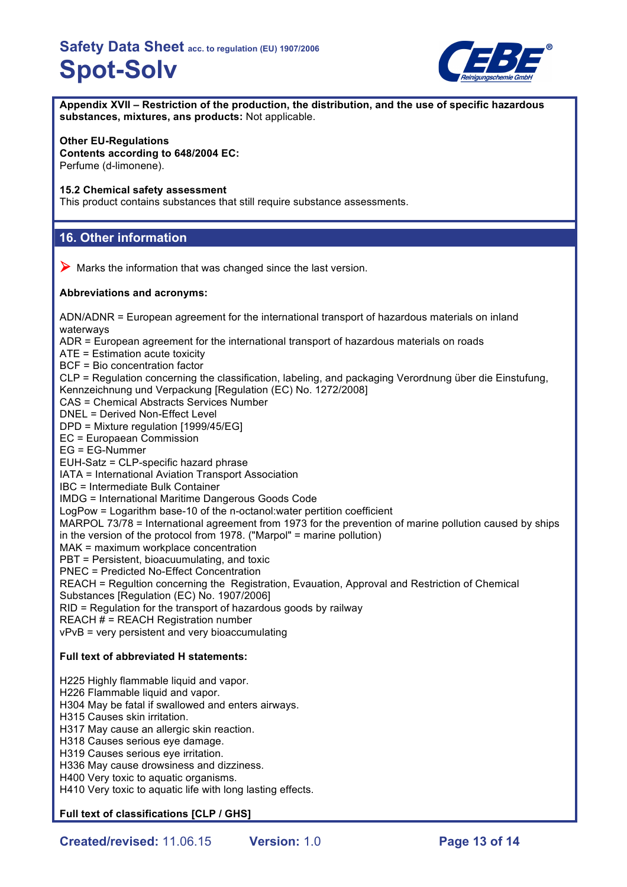

**Appendix XVII – Restriction of the production, the distribution, and the use of specific hazardous substances, mixtures, ans products:** Not applicable.

## **Other EU-Regulations**

**Contents according to 648/2004 EC:** Perfume (d-limonene).

#### **15.2 Chemical safety assessment**

This product contains substances that still require substance assessments.

## **16. Other information**

 $\triangleright$  Marks the information that was changed since the last version.

### **Abbreviations and acronyms:**

ADN/ADNR = European agreement for the international transport of hazardous materials on inland waterways ADR = European agreement for the international transport of hazardous materials on roads

ATE = Estimation acute toxicity

BCF = Bio concentration factor

CLP = Regulation concerning the classification, labeling, and packaging Verordnung über die Einstufung, Kennzeichnung und Verpackung [Regulation (EC) No. 1272/2008]

CAS = Chemical Abstracts Services Number

DNEL = Derived Non-Effect Level

DPD = Mixture regulation [1999/45/EG]

EC = Europaean Commission

EG = EG-Nummer

EUH-Satz = CLP-specific hazard phrase

IATA = International Aviation Transport Association

IBC = Intermediate Bulk Container

IMDG = International Maritime Dangerous Goods Code

LogPow = Logarithm base-10 of the n-octanol:water pertition coefficient

MARPOL 73/78 = International agreement from 1973 for the prevention of marine pollution caused by ships in the version of the protocol from 1978. ("Marpol" = marine pollution)

MAK = maximum workplace concentration

PBT = Persistent, bioacuumulating, and toxic

PNEC = Predicted No-Effect Concentration

REACH = Regultion concerning the Registration, Evauation, Approval and Restriction of Chemical

Substances [Regulation (EC) No. 1907/2006]

RID = Regulation for the transport of hazardous goods by railway

REACH # = REACH Registration number

vPvB = very persistent and very bioaccumulating

## **Full text of abbreviated H statements:**

H225 Highly flammable liquid and vapor. H226 Flammable liquid and vapor. H304 May be fatal if swallowed and enters airways. H315 Causes skin irritation. H317 May cause an allergic skin reaction. H318 Causes serious eye damage. H319 Causes serious eye irritation. H336 May cause drowsiness and dizziness. H400 Very toxic to aquatic organisms. H410 Very toxic to aquatic life with long lasting effects.

**Full text of classifications [CLP / GHS]**